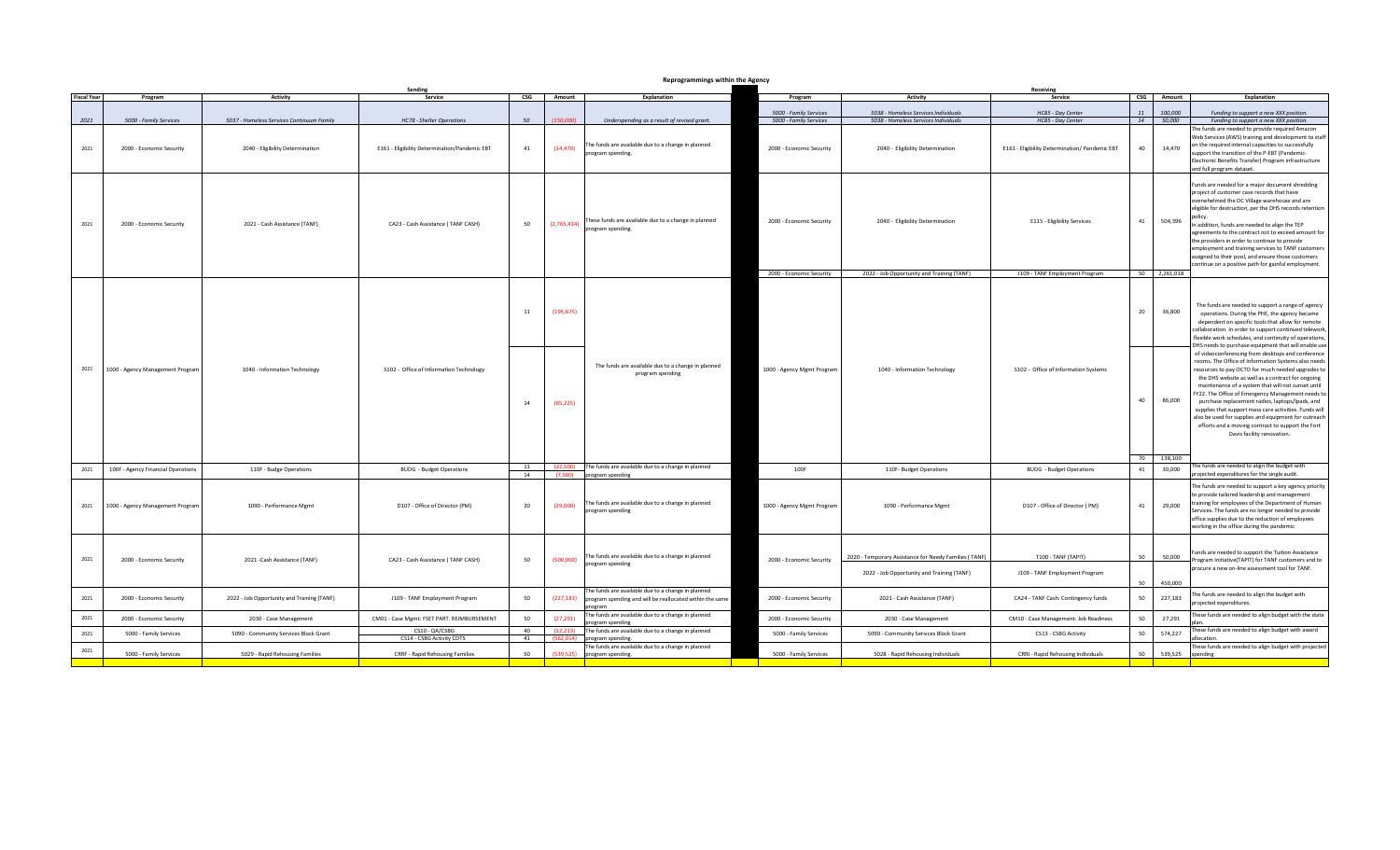| Reprogrammings within the Ager |  |  |
|--------------------------------|--|--|
|                                |  |  |

| <b>Fiscal Year</b><br>$\overline{\mathsf{CSG}}$<br>Amount<br>Explanation<br>CSG Amount<br>Explanation<br>Program<br>Activity<br>Service<br><b>Activity</b><br>Service<br>Program<br>5000 - Family Services<br>5038 - Homeless Services Individuals<br>HC85 - Day Center<br>11<br>100,000<br>Funding to support a new XXX position.<br>(150,000)<br>2021<br>50<br>5000 - Family Services<br>5038 - Homeless Services Individuals<br>HC85 - Day Center<br>50,000<br>5000 - Family Services<br>5037 - Homeless Services Continuum Family<br>HC78 - Shelter Operations<br>14<br>Underspending as a result of revised grant.<br>Funding to support a new XXX position.<br>The funds are needed to provide required Amazon<br>The funds are available due to a change in planned<br>on the required internal capacities to successfully<br>2021<br>41<br>(14, 470)<br>2000 - Economic Security<br>40<br>14,470<br>2000 - Economic Security<br>2040 - Eligibility Determination<br>E161 - Eligibility Determination/Pandemic EBT<br>2040 - Eligibility Determination<br>E161 - Eligibility Determination/ Pandemic EBT<br>program spending.<br>upport the transition of the P-EBT (Pandemic-<br>Electronic Benefits Transfer) Program infrastructure<br>and full program dataset.<br>unds are needed for a major document shredding<br>project of customer case records that have<br>overwhelmed the DC Village warehouse and are<br>eligible for destruction, per the DHS records retention<br>(2,765,414) These funds are available due to a change in planned<br>program spending.<br>2000 - Economic Security<br>2040 - Eligibility Determination<br>E115 - Eligibility Services<br>41<br>504,396<br>2021<br>2000 - Economic Security<br>2021 - Cash Assistance (TANF)<br>CA23 - Cash Assistance (TANF CASH)<br>50<br>In addition, funds are needed to align the TEP<br>agreements to the contract not to exceed amount for<br>the providers in order to continue to provide<br>employment and training services to TANF customers<br>assigned to their pool, and ensure those customers<br>continue on a positive path for gainful employment.<br>J109 - TANF Employment Program<br>50 2,261,018<br>2000 - Economic Security<br>2022 - Job Opportunity and Training (TANF)<br>The funds are needed to support a range of agency<br>(195, 675)<br>20<br>36,800<br>11<br>operations. During the PHE, the agency became<br>dependent on specific tools that allow for remote<br>The funds are available due to a change in planned<br>2021<br>1000 - Agency Management Program<br>1040 - Information Technology<br>S102 - Office of Information Technology<br>1000 - Agency Mgmt Program<br>1040 - Information Technology<br>S102 - Office of Information Systems<br>program spending<br>the DHS website as well as a contract for ongoing<br>maintenance of a system that will not sunset until<br>40<br>86,000<br>purchase replacement radios, laptops/lpads, and<br>14<br>(65, 225)<br>supplies that support mass care activities. Funds will<br>also be used for supplies and equipment for outreach<br>efforts and a moving contract to support the Fort<br>Davis facility renovation.<br>70 138,100<br>The funds are needed to align the budget with<br>11<br>(22,500)<br>The funds are available due to a change in planned<br>2021<br>100F<br>30,000<br>100F - Agency Financial Operations<br>110F - Budge Operations<br><b>BUDG</b> - Budget Operations<br>110F- Budget Operations<br><b>BUDG</b> - Budget Operations<br>41<br>projected expenditures for the single audit.<br>14<br>(7,500)<br>program spending<br>The funds are needed to support a key agency priority<br>to provide tailored leadership and management<br>The funds are available due to a change in planned<br>training for employees of the Department of Human<br>20<br>1000 - Agency Mgmt Program<br>29,000<br>2021<br>1000 - Agency Management Program<br>1090 - Performance Mgmt<br>D107 - Office of Director (PM)<br>(29,000)<br>1090 - Performance Mgmt<br>D107 - Office of Director (PM)<br>41<br>program spending<br>Services. The funds are no longer needed to provide<br>office supplies due to the reduction of employees<br>working in the office during the pandemic<br>Funds are needed to support the Tuition Assistance<br>The funds are available due to a change in planned<br>T100 - TANF (TAPIT)<br>50<br>50,000<br>2020 - Temporary Assistance for Needy Families (TANF)<br>2021<br>50<br>2000 - Economic Security<br>2021 - Cash Assistance (TANF)<br>CA23 - Cash Assistance (TANF CASH)<br>(500,000)<br>2000 - Economic Security<br>Program Initiative(TAPIT) for TANF customers and to<br>program spending<br>procure a new on-line assessment tool for TANF.<br>2022 - Job Opportunity and Training (TANF)<br>J109 - TANF Employment Program<br>50<br>450,000<br>The funds are available due to a change in planned<br>The funds are needed to align the budget with<br>(227, 183)<br>227,183<br>2021<br>50<br>50<br>2000 - Economic Security<br>2022 - Job Opportunity and Training (TANF)<br>J109 - TANF Employment Program<br>2000 - Economic Security<br>2021 - Cash Assistance (TANF)<br>CA24 - TANF Cash: Contingency funds<br>program spending and will be reallocated within the same<br>projected expenditures.<br>program<br>The funds are available due to a change in planned<br>These funds are needed to align budget with the state<br>2021<br>50<br>(27, 291)<br>27,291<br>2000 - Economic Security<br>2030 - Case Management<br>CM01 - Case Mgmt: FSET PART. REIMBURSEMENT<br>2000 - Economic Security<br>2030 - Case Management<br>CM10 - Case Management: Job Readiness<br>50<br>program spending<br>CS10 - QA/CSBG<br>40<br>(12, 213)<br>The funds are available due to a change in planned<br>These funds are needed to align budget with award<br>2021<br>574,227<br>5000 - Family Services<br>5000 - Family Services<br>CS13 - CSBG Activity<br>50<br>5090 - Community Services Block Grant<br>5090 - Community Serivces Block Grant<br>allocation.<br>CS14 - CSBG Activity CDTS<br>41<br>(562, 014)<br>program spending.<br>The funds are available due to a change in planned<br>These funds are needed to align budget with projected<br>2021<br>50<br>(539, 525)<br>539,525<br>5000 - Family Services<br>5029 - Rapid Rehousing Families<br><b>CRRF - Rapid Rehousing Families</b><br>5000 - Family Services<br>5028 - Rapid Rehousing Individuals<br>CRRI - Rapid Rehousing Individuals<br>50<br>program spending.<br>spending | Reprogrammings within the Agency |  |         |  |  |  |  |  |           |  |  |                                                                                                                                                                                                                                                                                                                                                                                                |
|----------------------------------------------------------------------------------------------------------------------------------------------------------------------------------------------------------------------------------------------------------------------------------------------------------------------------------------------------------------------------------------------------------------------------------------------------------------------------------------------------------------------------------------------------------------------------------------------------------------------------------------------------------------------------------------------------------------------------------------------------------------------------------------------------------------------------------------------------------------------------------------------------------------------------------------------------------------------------------------------------------------------------------------------------------------------------------------------------------------------------------------------------------------------------------------------------------------------------------------------------------------------------------------------------------------------------------------------------------------------------------------------------------------------------------------------------------------------------------------------------------------------------------------------------------------------------------------------------------------------------------------------------------------------------------------------------------------------------------------------------------------------------------------------------------------------------------------------------------------------------------------------------------------------------------------------------------------------------------------------------------------------------------------------------------------------------------------------------------------------------------------------------------------------------------------------------------------------------------------------------------------------------------------------------------------------------------------------------------------------------------------------------------------------------------------------------------------------------------------------------------------------------------------------------------------------------------------------------------------------------------------------------------------------------------------------------------------------------------------------------------------------------------------------------------------------------------------------------------------------------------------------------------------------------------------------------------------------------------------------------------------------------------------------------------------------------------------------------------------------------------------------------------------------------------------------------------------------------------------------------------------------------------------------------------------------------------------------------------------------------------------------------------------------------------------------------------------------------------------------------------------------------------------------------------------------------------------------------------------------------------------------------------------------------------------------------------------------------------------------------------------------------------------------------------------------------------------------------------------------------------------------------------------------------------------------------------------------------------------------------------------------------------------------------------------------------------------------------------------------------------------------------------------------------------------------------------------------------------------------------------------------------------------------------------------------------------------------------------------------------------------------------------------------------------------------------------------------------------------------------------------------------------------------------------------------------------------------------------------------------------------------------------------------------------------------------------------------------------------------------------------------------------------------------------------------------------------------------------------------------------------------------------------------------------------------------------------------------------------------------------------------------------------------------------------------------------------------------------------------------------------------------------------------------------------------------------------------------------------------------------------------------------------------------------------------------------------------------------------------------------------------------------------------------------------------------------------------------------------------------------------------------------------------------------------------------------------------------------------------------------------------------------------------------------------------------------------------------------------------------------------------------------------------------------------------------------------------------------------------------------------------------------------------------------------------------------------------------------------------------------------------------------------------------------------------------------------------------------------------------------------------------------------------------------------------------------------------------------------------------------------------------------------------------------------------------------------------------------------------------------------------------------------------------------------------------------------------------------------------------------------------------------------------------------------|----------------------------------|--|---------|--|--|--|--|--|-----------|--|--|------------------------------------------------------------------------------------------------------------------------------------------------------------------------------------------------------------------------------------------------------------------------------------------------------------------------------------------------------------------------------------------------|
|                                                                                                                                                                                                                                                                                                                                                                                                                                                                                                                                                                                                                                                                                                                                                                                                                                                                                                                                                                                                                                                                                                                                                                                                                                                                                                                                                                                                                                                                                                                                                                                                                                                                                                                                                                                                                                                                                                                                                                                                                                                                                                                                                                                                                                                                                                                                                                                                                                                                                                                                                                                                                                                                                                                                                                                                                                                                                                                                                                                                                                                                                                                                                                                                                                                                                                                                                                                                                                                                                                                                                                                                                                                                                                                                                                                                                                                                                                                                                                                                                                                                                                                                                                                                                                                                                                                                                                                                                                                                                                                                                                                                                                                                                                                                                                                                                                                                                                                                                                                                                                                                                                                                                                                                                                                                                                                                                                                                                                                                                                                                                                                                                                                                                                                                                                                                                                                                                                                                                                                                                                                                                                                                                                                                                                                                                                                                                                                                                                                                                                                                                                |                                  |  | Sending |  |  |  |  |  | Receiving |  |  |                                                                                                                                                                                                                                                                                                                                                                                                |
|                                                                                                                                                                                                                                                                                                                                                                                                                                                                                                                                                                                                                                                                                                                                                                                                                                                                                                                                                                                                                                                                                                                                                                                                                                                                                                                                                                                                                                                                                                                                                                                                                                                                                                                                                                                                                                                                                                                                                                                                                                                                                                                                                                                                                                                                                                                                                                                                                                                                                                                                                                                                                                                                                                                                                                                                                                                                                                                                                                                                                                                                                                                                                                                                                                                                                                                                                                                                                                                                                                                                                                                                                                                                                                                                                                                                                                                                                                                                                                                                                                                                                                                                                                                                                                                                                                                                                                                                                                                                                                                                                                                                                                                                                                                                                                                                                                                                                                                                                                                                                                                                                                                                                                                                                                                                                                                                                                                                                                                                                                                                                                                                                                                                                                                                                                                                                                                                                                                                                                                                                                                                                                                                                                                                                                                                                                                                                                                                                                                                                                                                                                |                                  |  |         |  |  |  |  |  |           |  |  |                                                                                                                                                                                                                                                                                                                                                                                                |
|                                                                                                                                                                                                                                                                                                                                                                                                                                                                                                                                                                                                                                                                                                                                                                                                                                                                                                                                                                                                                                                                                                                                                                                                                                                                                                                                                                                                                                                                                                                                                                                                                                                                                                                                                                                                                                                                                                                                                                                                                                                                                                                                                                                                                                                                                                                                                                                                                                                                                                                                                                                                                                                                                                                                                                                                                                                                                                                                                                                                                                                                                                                                                                                                                                                                                                                                                                                                                                                                                                                                                                                                                                                                                                                                                                                                                                                                                                                                                                                                                                                                                                                                                                                                                                                                                                                                                                                                                                                                                                                                                                                                                                                                                                                                                                                                                                                                                                                                                                                                                                                                                                                                                                                                                                                                                                                                                                                                                                                                                                                                                                                                                                                                                                                                                                                                                                                                                                                                                                                                                                                                                                                                                                                                                                                                                                                                                                                                                                                                                                                                                                |                                  |  |         |  |  |  |  |  |           |  |  |                                                                                                                                                                                                                                                                                                                                                                                                |
|                                                                                                                                                                                                                                                                                                                                                                                                                                                                                                                                                                                                                                                                                                                                                                                                                                                                                                                                                                                                                                                                                                                                                                                                                                                                                                                                                                                                                                                                                                                                                                                                                                                                                                                                                                                                                                                                                                                                                                                                                                                                                                                                                                                                                                                                                                                                                                                                                                                                                                                                                                                                                                                                                                                                                                                                                                                                                                                                                                                                                                                                                                                                                                                                                                                                                                                                                                                                                                                                                                                                                                                                                                                                                                                                                                                                                                                                                                                                                                                                                                                                                                                                                                                                                                                                                                                                                                                                                                                                                                                                                                                                                                                                                                                                                                                                                                                                                                                                                                                                                                                                                                                                                                                                                                                                                                                                                                                                                                                                                                                                                                                                                                                                                                                                                                                                                                                                                                                                                                                                                                                                                                                                                                                                                                                                                                                                                                                                                                                                                                                                                                |                                  |  |         |  |  |  |  |  |           |  |  | Web Services (AWS) training and development to staff                                                                                                                                                                                                                                                                                                                                           |
|                                                                                                                                                                                                                                                                                                                                                                                                                                                                                                                                                                                                                                                                                                                                                                                                                                                                                                                                                                                                                                                                                                                                                                                                                                                                                                                                                                                                                                                                                                                                                                                                                                                                                                                                                                                                                                                                                                                                                                                                                                                                                                                                                                                                                                                                                                                                                                                                                                                                                                                                                                                                                                                                                                                                                                                                                                                                                                                                                                                                                                                                                                                                                                                                                                                                                                                                                                                                                                                                                                                                                                                                                                                                                                                                                                                                                                                                                                                                                                                                                                                                                                                                                                                                                                                                                                                                                                                                                                                                                                                                                                                                                                                                                                                                                                                                                                                                                                                                                                                                                                                                                                                                                                                                                                                                                                                                                                                                                                                                                                                                                                                                                                                                                                                                                                                                                                                                                                                                                                                                                                                                                                                                                                                                                                                                                                                                                                                                                                                                                                                                                                |                                  |  |         |  |  |  |  |  |           |  |  |                                                                                                                                                                                                                                                                                                                                                                                                |
|                                                                                                                                                                                                                                                                                                                                                                                                                                                                                                                                                                                                                                                                                                                                                                                                                                                                                                                                                                                                                                                                                                                                                                                                                                                                                                                                                                                                                                                                                                                                                                                                                                                                                                                                                                                                                                                                                                                                                                                                                                                                                                                                                                                                                                                                                                                                                                                                                                                                                                                                                                                                                                                                                                                                                                                                                                                                                                                                                                                                                                                                                                                                                                                                                                                                                                                                                                                                                                                                                                                                                                                                                                                                                                                                                                                                                                                                                                                                                                                                                                                                                                                                                                                                                                                                                                                                                                                                                                                                                                                                                                                                                                                                                                                                                                                                                                                                                                                                                                                                                                                                                                                                                                                                                                                                                                                                                                                                                                                                                                                                                                                                                                                                                                                                                                                                                                                                                                                                                                                                                                                                                                                                                                                                                                                                                                                                                                                                                                                                                                                                                                |                                  |  |         |  |  |  |  |  |           |  |  |                                                                                                                                                                                                                                                                                                                                                                                                |
|                                                                                                                                                                                                                                                                                                                                                                                                                                                                                                                                                                                                                                                                                                                                                                                                                                                                                                                                                                                                                                                                                                                                                                                                                                                                                                                                                                                                                                                                                                                                                                                                                                                                                                                                                                                                                                                                                                                                                                                                                                                                                                                                                                                                                                                                                                                                                                                                                                                                                                                                                                                                                                                                                                                                                                                                                                                                                                                                                                                                                                                                                                                                                                                                                                                                                                                                                                                                                                                                                                                                                                                                                                                                                                                                                                                                                                                                                                                                                                                                                                                                                                                                                                                                                                                                                                                                                                                                                                                                                                                                                                                                                                                                                                                                                                                                                                                                                                                                                                                                                                                                                                                                                                                                                                                                                                                                                                                                                                                                                                                                                                                                                                                                                                                                                                                                                                                                                                                                                                                                                                                                                                                                                                                                                                                                                                                                                                                                                                                                                                                                                                |                                  |  |         |  |  |  |  |  |           |  |  | collaboration. In order to support continued telework,<br>flexible work schedules, and continuity of operations,<br>DHS needs to purchase equipment that will enable use<br>of videoconferencing from desktops and conference<br>rooms. The Office of Information Systems also needs<br>resources to pay OCTO for much needed upgrades to<br>FY22. The Office of Emergency Management needs to |
|                                                                                                                                                                                                                                                                                                                                                                                                                                                                                                                                                                                                                                                                                                                                                                                                                                                                                                                                                                                                                                                                                                                                                                                                                                                                                                                                                                                                                                                                                                                                                                                                                                                                                                                                                                                                                                                                                                                                                                                                                                                                                                                                                                                                                                                                                                                                                                                                                                                                                                                                                                                                                                                                                                                                                                                                                                                                                                                                                                                                                                                                                                                                                                                                                                                                                                                                                                                                                                                                                                                                                                                                                                                                                                                                                                                                                                                                                                                                                                                                                                                                                                                                                                                                                                                                                                                                                                                                                                                                                                                                                                                                                                                                                                                                                                                                                                                                                                                                                                                                                                                                                                                                                                                                                                                                                                                                                                                                                                                                                                                                                                                                                                                                                                                                                                                                                                                                                                                                                                                                                                                                                                                                                                                                                                                                                                                                                                                                                                                                                                                                                                |                                  |  |         |  |  |  |  |  |           |  |  |                                                                                                                                                                                                                                                                                                                                                                                                |
|                                                                                                                                                                                                                                                                                                                                                                                                                                                                                                                                                                                                                                                                                                                                                                                                                                                                                                                                                                                                                                                                                                                                                                                                                                                                                                                                                                                                                                                                                                                                                                                                                                                                                                                                                                                                                                                                                                                                                                                                                                                                                                                                                                                                                                                                                                                                                                                                                                                                                                                                                                                                                                                                                                                                                                                                                                                                                                                                                                                                                                                                                                                                                                                                                                                                                                                                                                                                                                                                                                                                                                                                                                                                                                                                                                                                                                                                                                                                                                                                                                                                                                                                                                                                                                                                                                                                                                                                                                                                                                                                                                                                                                                                                                                                                                                                                                                                                                                                                                                                                                                                                                                                                                                                                                                                                                                                                                                                                                                                                                                                                                                                                                                                                                                                                                                                                                                                                                                                                                                                                                                                                                                                                                                                                                                                                                                                                                                                                                                                                                                                                                |                                  |  |         |  |  |  |  |  |           |  |  |                                                                                                                                                                                                                                                                                                                                                                                                |
|                                                                                                                                                                                                                                                                                                                                                                                                                                                                                                                                                                                                                                                                                                                                                                                                                                                                                                                                                                                                                                                                                                                                                                                                                                                                                                                                                                                                                                                                                                                                                                                                                                                                                                                                                                                                                                                                                                                                                                                                                                                                                                                                                                                                                                                                                                                                                                                                                                                                                                                                                                                                                                                                                                                                                                                                                                                                                                                                                                                                                                                                                                                                                                                                                                                                                                                                                                                                                                                                                                                                                                                                                                                                                                                                                                                                                                                                                                                                                                                                                                                                                                                                                                                                                                                                                                                                                                                                                                                                                                                                                                                                                                                                                                                                                                                                                                                                                                                                                                                                                                                                                                                                                                                                                                                                                                                                                                                                                                                                                                                                                                                                                                                                                                                                                                                                                                                                                                                                                                                                                                                                                                                                                                                                                                                                                                                                                                                                                                                                                                                                                                |                                  |  |         |  |  |  |  |  |           |  |  |                                                                                                                                                                                                                                                                                                                                                                                                |
|                                                                                                                                                                                                                                                                                                                                                                                                                                                                                                                                                                                                                                                                                                                                                                                                                                                                                                                                                                                                                                                                                                                                                                                                                                                                                                                                                                                                                                                                                                                                                                                                                                                                                                                                                                                                                                                                                                                                                                                                                                                                                                                                                                                                                                                                                                                                                                                                                                                                                                                                                                                                                                                                                                                                                                                                                                                                                                                                                                                                                                                                                                                                                                                                                                                                                                                                                                                                                                                                                                                                                                                                                                                                                                                                                                                                                                                                                                                                                                                                                                                                                                                                                                                                                                                                                                                                                                                                                                                                                                                                                                                                                                                                                                                                                                                                                                                                                                                                                                                                                                                                                                                                                                                                                                                                                                                                                                                                                                                                                                                                                                                                                                                                                                                                                                                                                                                                                                                                                                                                                                                                                                                                                                                                                                                                                                                                                                                                                                                                                                                                                                |                                  |  |         |  |  |  |  |  |           |  |  |                                                                                                                                                                                                                                                                                                                                                                                                |
|                                                                                                                                                                                                                                                                                                                                                                                                                                                                                                                                                                                                                                                                                                                                                                                                                                                                                                                                                                                                                                                                                                                                                                                                                                                                                                                                                                                                                                                                                                                                                                                                                                                                                                                                                                                                                                                                                                                                                                                                                                                                                                                                                                                                                                                                                                                                                                                                                                                                                                                                                                                                                                                                                                                                                                                                                                                                                                                                                                                                                                                                                                                                                                                                                                                                                                                                                                                                                                                                                                                                                                                                                                                                                                                                                                                                                                                                                                                                                                                                                                                                                                                                                                                                                                                                                                                                                                                                                                                                                                                                                                                                                                                                                                                                                                                                                                                                                                                                                                                                                                                                                                                                                                                                                                                                                                                                                                                                                                                                                                                                                                                                                                                                                                                                                                                                                                                                                                                                                                                                                                                                                                                                                                                                                                                                                                                                                                                                                                                                                                                                                                |                                  |  |         |  |  |  |  |  |           |  |  |                                                                                                                                                                                                                                                                                                                                                                                                |
|                                                                                                                                                                                                                                                                                                                                                                                                                                                                                                                                                                                                                                                                                                                                                                                                                                                                                                                                                                                                                                                                                                                                                                                                                                                                                                                                                                                                                                                                                                                                                                                                                                                                                                                                                                                                                                                                                                                                                                                                                                                                                                                                                                                                                                                                                                                                                                                                                                                                                                                                                                                                                                                                                                                                                                                                                                                                                                                                                                                                                                                                                                                                                                                                                                                                                                                                                                                                                                                                                                                                                                                                                                                                                                                                                                                                                                                                                                                                                                                                                                                                                                                                                                                                                                                                                                                                                                                                                                                                                                                                                                                                                                                                                                                                                                                                                                                                                                                                                                                                                                                                                                                                                                                                                                                                                                                                                                                                                                                                                                                                                                                                                                                                                                                                                                                                                                                                                                                                                                                                                                                                                                                                                                                                                                                                                                                                                                                                                                                                                                                                                                |                                  |  |         |  |  |  |  |  |           |  |  |                                                                                                                                                                                                                                                                                                                                                                                                |
|                                                                                                                                                                                                                                                                                                                                                                                                                                                                                                                                                                                                                                                                                                                                                                                                                                                                                                                                                                                                                                                                                                                                                                                                                                                                                                                                                                                                                                                                                                                                                                                                                                                                                                                                                                                                                                                                                                                                                                                                                                                                                                                                                                                                                                                                                                                                                                                                                                                                                                                                                                                                                                                                                                                                                                                                                                                                                                                                                                                                                                                                                                                                                                                                                                                                                                                                                                                                                                                                                                                                                                                                                                                                                                                                                                                                                                                                                                                                                                                                                                                                                                                                                                                                                                                                                                                                                                                                                                                                                                                                                                                                                                                                                                                                                                                                                                                                                                                                                                                                                                                                                                                                                                                                                                                                                                                                                                                                                                                                                                                                                                                                                                                                                                                                                                                                                                                                                                                                                                                                                                                                                                                                                                                                                                                                                                                                                                                                                                                                                                                                                                |                                  |  |         |  |  |  |  |  |           |  |  |                                                                                                                                                                                                                                                                                                                                                                                                |
|                                                                                                                                                                                                                                                                                                                                                                                                                                                                                                                                                                                                                                                                                                                                                                                                                                                                                                                                                                                                                                                                                                                                                                                                                                                                                                                                                                                                                                                                                                                                                                                                                                                                                                                                                                                                                                                                                                                                                                                                                                                                                                                                                                                                                                                                                                                                                                                                                                                                                                                                                                                                                                                                                                                                                                                                                                                                                                                                                                                                                                                                                                                                                                                                                                                                                                                                                                                                                                                                                                                                                                                                                                                                                                                                                                                                                                                                                                                                                                                                                                                                                                                                                                                                                                                                                                                                                                                                                                                                                                                                                                                                                                                                                                                                                                                                                                                                                                                                                                                                                                                                                                                                                                                                                                                                                                                                                                                                                                                                                                                                                                                                                                                                                                                                                                                                                                                                                                                                                                                                                                                                                                                                                                                                                                                                                                                                                                                                                                                                                                                                                                |                                  |  |         |  |  |  |  |  |           |  |  |                                                                                                                                                                                                                                                                                                                                                                                                |
|                                                                                                                                                                                                                                                                                                                                                                                                                                                                                                                                                                                                                                                                                                                                                                                                                                                                                                                                                                                                                                                                                                                                                                                                                                                                                                                                                                                                                                                                                                                                                                                                                                                                                                                                                                                                                                                                                                                                                                                                                                                                                                                                                                                                                                                                                                                                                                                                                                                                                                                                                                                                                                                                                                                                                                                                                                                                                                                                                                                                                                                                                                                                                                                                                                                                                                                                                                                                                                                                                                                                                                                                                                                                                                                                                                                                                                                                                                                                                                                                                                                                                                                                                                                                                                                                                                                                                                                                                                                                                                                                                                                                                                                                                                                                                                                                                                                                                                                                                                                                                                                                                                                                                                                                                                                                                                                                                                                                                                                                                                                                                                                                                                                                                                                                                                                                                                                                                                                                                                                                                                                                                                                                                                                                                                                                                                                                                                                                                                                                                                                                                                |                                  |  |         |  |  |  |  |  |           |  |  |                                                                                                                                                                                                                                                                                                                                                                                                |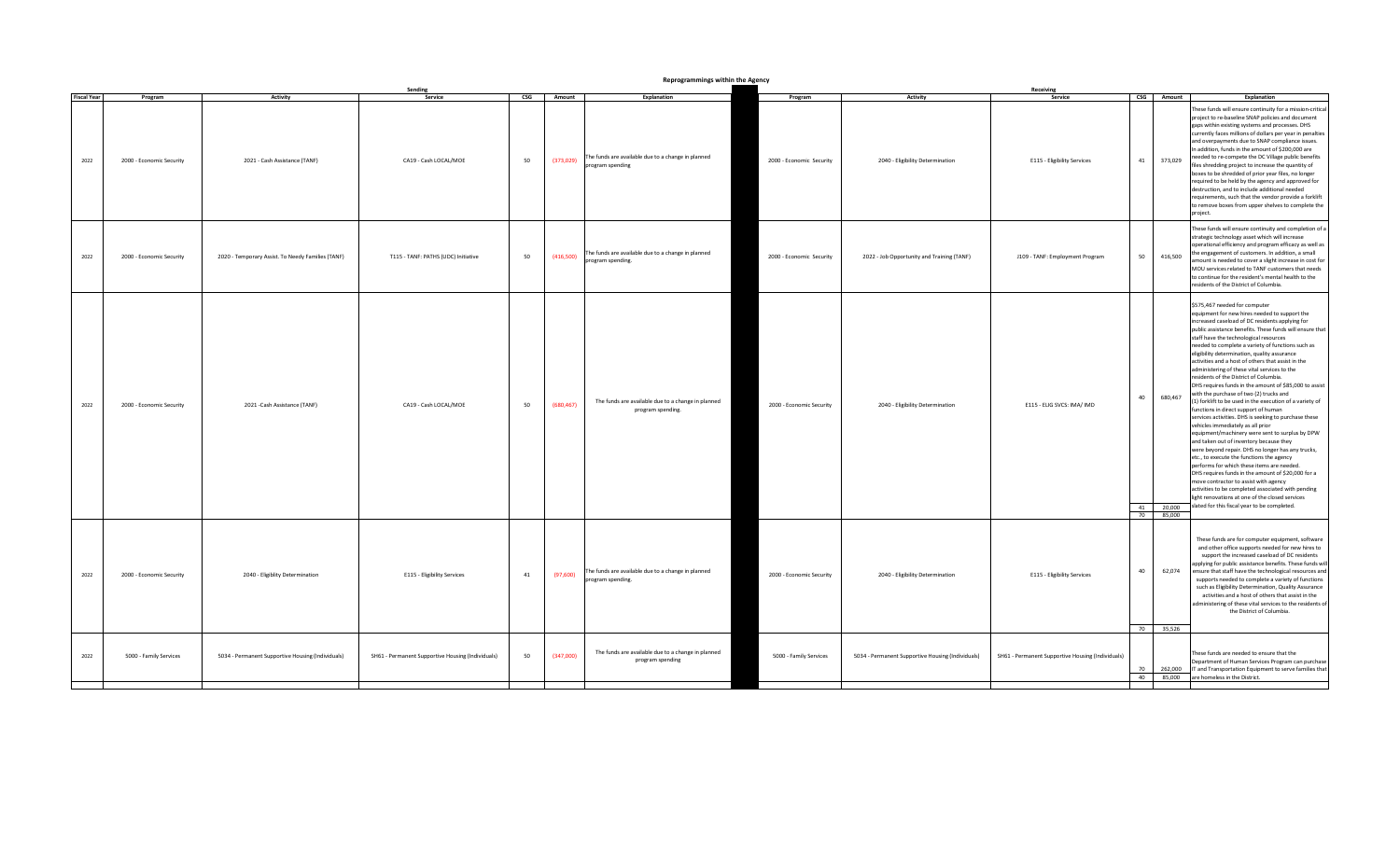| Reprogrammings within the Agency<br>Sending |                          |                                                   |                                                   |                           |            |                                                                         |                          |                                                   |                                                   |    |                      |                                                                                                                                                                                                                                                                                                                                                                                                                                                                                                                                                                                                                                                                                                                                                                                                                                                                                                                                                                                                                                                                                                                                                                                                                                                                                                                     |
|---------------------------------------------|--------------------------|---------------------------------------------------|---------------------------------------------------|---------------------------|------------|-------------------------------------------------------------------------|--------------------------|---------------------------------------------------|---------------------------------------------------|----|----------------------|---------------------------------------------------------------------------------------------------------------------------------------------------------------------------------------------------------------------------------------------------------------------------------------------------------------------------------------------------------------------------------------------------------------------------------------------------------------------------------------------------------------------------------------------------------------------------------------------------------------------------------------------------------------------------------------------------------------------------------------------------------------------------------------------------------------------------------------------------------------------------------------------------------------------------------------------------------------------------------------------------------------------------------------------------------------------------------------------------------------------------------------------------------------------------------------------------------------------------------------------------------------------------------------------------------------------|
| <b>Fiscal Year</b>                          | Program                  | Activity                                          | Service                                           | $\mathsf{CSG}\phantom{0}$ | Amount     | Explanation                                                             | Program                  | <b>Activity</b>                                   | Receiving<br>Service                              |    | CSG Amount           | Explanation                                                                                                                                                                                                                                                                                                                                                                                                                                                                                                                                                                                                                                                                                                                                                                                                                                                                                                                                                                                                                                                                                                                                                                                                                                                                                                         |
| 2022                                        | 2000 - Economic Security | 2021 - Cash Assistance (TANF)                     | CA19 - Cash LOCAL/MOE                             | 50                        | (373, 029) | The funds are available due to a change in planned<br>program spending  | 2000 - Economic Security | 2040 - Eligibility Determination                  | E115 - Eligibility Services                       | 41 | 373,029              | These funds will ensure continuity for a mission-critical<br>project to re-baseline SNAP policies and document<br>gaps within existing systems and processes. DHS<br>currently faces millions of dollars per year in penalties<br>and overpayments due to SNAP compliance issues.<br>In addition, funds in the amount of \$200,000 are<br>needed to re-compete the DC Village public benefits<br>files shredding project to increase the quantity of<br>boxes to be shredded of prior year files, no longer<br>required to be held by the agency and approved for<br>destruction, and to include additional needed<br>requirements, such that the vendor provide a forklift<br>to remove boxes from upper shelves to complete the<br>project.                                                                                                                                                                                                                                                                                                                                                                                                                                                                                                                                                                       |
| 2022                                        | 2000 - Economic Security | 2020 - Temporary Assist. To Needy Families (TANF) | T115 - TANF: PATHS (UDC) Initiative               | 50                        | (416,500)  | The funds are available due to a change in planned<br>program spending. | 2000 - Economic Security | 2022 - Job Opportunity and Training (TANF)        | J109 - TANF: Employment Program                   | 50 | 416,500              | These funds will ensure continuity and completion of a<br>strategic technology asset which will increase<br>operational efficiency and program efficacy as well as<br>the engagement of customers. In addition, a small<br>amount is needed to cover a slight increase in cost for<br>MOU services related to TANF customers that needs<br>to continue for the resident's mental health to the<br>residents of the District of Columbia.                                                                                                                                                                                                                                                                                                                                                                                                                                                                                                                                                                                                                                                                                                                                                                                                                                                                            |
| 2022                                        | 2000 - Economic Security | 2021 -Cash Assistance (TANF)                      | CA19 - Cash LOCAL/MOE                             | 50                        | (680, 467) | The funds are available due to a change in planned<br>program spending. | 2000 - Economic Security | 2040 - Eligibility Determination                  | E115 - ELIG SVCS: IMA/ IMD                        | 40 | 680,467<br>70 85,000 | \$575,467 needed for computer<br>equipment for new hires needed to support the<br>increased caseload of DC residents applying for<br>public assistance benefits. These funds will ensure that<br>staff have the technological resources<br>needed to complete a variety of functions such as<br>eligibility determination, quality assurance<br>activities and a host of others that assist in the<br>administering of these vital services to the<br>residents of the District of Columbia.<br>DHS requires funds in the amount of \$85,000 to assist<br>with the purchase of two (2) trucks and<br>(1) forklift to be used in the execution of a variety of<br>functions in direct support of human<br>services activities. DHS is seeking to purchase these<br>vehicles immediately as all prior<br>equipment/machinery were sent to surplus by DPW<br>and taken out of inventory because they<br>were beyond repair. DHS no longer has any trucks,<br>etc., to execute the functions the agency<br>performs for which these items are needed.<br>DHS requires funds in the amount of \$20,000 for a<br>move contractor to assist with agency<br>activities to be completed associated with pending<br>light renovations at one of the closed services<br>41 20,000 slated for this fiscal year to be completed. |
| 2022                                        | 2000 - Economic Security | 2040 - Eligiblity Determination                   | E115 - Eligibility Services                       | 41                        | (97,600)   | The funds are available due to a change in planned<br>program spending. | 2000 - Economic Security | 2040 - Eligibility Determination                  | E115 - Eligibility Services                       | 40 | 62,074<br>70 35,526  | These funds are for computer equipment, software<br>and other office supports needed for new hires to<br>support the increased caseload of DC residents<br>applying for public assistance benefits. These funds will<br>ensure that staff have the technological resources and<br>supports needed to complete a variety of functions<br>such as Eligibility Determination, Quality Assurance<br>activities and a host of others that assist in the<br>administering of these vital services to the residents of<br>the District of Columbia.                                                                                                                                                                                                                                                                                                                                                                                                                                                                                                                                                                                                                                                                                                                                                                        |
| 2022                                        | 5000 - Family Services   | 5034 - Permanent Supportive Housing (Individuals) | SH61 - Permanent Supportive Housing (Individuals) | 50                        | (347,000)  | The funds are available due to a change in planned<br>program spending  | 5000 - Family Services   | 5034 - Permanent Supportive Housing (Individuals) | SH61 - Permanent Supportive Housing (Individuals) | 70 |                      | These funds are needed to ensure that the<br>Department of Human Services Program can purchase<br>262,000 IT and Transportation Equipment to serve families that<br>40 85,000 are homeless in the District.                                                                                                                                                                                                                                                                                                                                                                                                                                                                                                                                                                                                                                                                                                                                                                                                                                                                                                                                                                                                                                                                                                         |
|                                             |                          |                                                   |                                                   |                           |            |                                                                         |                          |                                                   |                                                   |    |                      |                                                                                                                                                                                                                                                                                                                                                                                                                                                                                                                                                                                                                                                                                                                                                                                                                                                                                                                                                                                                                                                                                                                                                                                                                                                                                                                     |